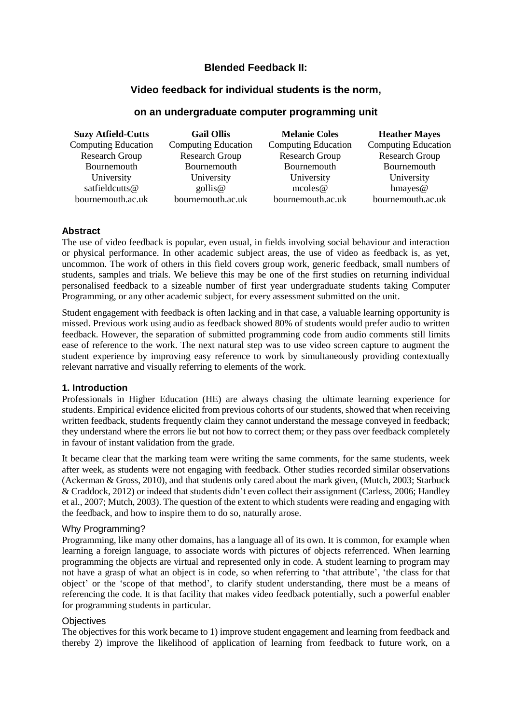# **Blended Feedback II:**

## **Video feedback for individual students is the norm,**

## **on an undergraduate computer programming unit**

| <b>Suzy Atfield-Cutts</b>  | <b>Gail Ollis</b>          | <b>Melanie Coles</b>  | <b>Heather Mayes</b>       |  |
|----------------------------|----------------------------|-----------------------|----------------------------|--|
| <b>Computing Education</b> | <b>Computing Education</b> | Computing Education   | <b>Computing Education</b> |  |
| Research Group             | <b>Research Group</b>      | <b>Research Group</b> | <b>Research Group</b>      |  |
| Bournemouth                | Bournemouth                | Bournemouth           | Bournemouth                |  |
| University                 | University                 | University            | University                 |  |
| satfieldcutts@             | $\text{gollis}\n\omega$    | mcoles@               | hmayes $@$                 |  |
| bournemouth.ac.uk          | bournemouth.ac.uk          | bournemouth.ac.uk     | bournemouth.ac.uk          |  |

### **Abstract**

The use of video feedback is popular, even usual, in fields involving social behaviour and interaction or physical performance. In other academic subject areas, the use of video as feedback is, as yet, uncommon. The work of others in this field covers group work, generic feedback, small numbers of students, samples and trials. We believe this may be one of the first studies on returning individual personalised feedback to a sizeable number of first year undergraduate students taking Computer Programming, or any other academic subject, for every assessment submitted on the unit.

Student engagement with feedback is often lacking and in that case, a valuable learning opportunity is missed. Previous work using audio as feedback showed 80% of students would prefer audio to written feedback. However, the separation of submitted programming code from audio comments still limits ease of reference to the work. The next natural step was to use video screen capture to augment the student experience by improving easy reference to work by simultaneously providing contextually relevant narrative and visually referring to elements of the work.

### **1. Introduction**

Professionals in Higher Education (HE) are always chasing the ultimate learning experience for students. Empirical evidence elicited from previous cohorts of our students, showed that when receiving written feedback, students frequently claim they cannot understand the message conveyed in feedback; they understand where the errors lie but not how to correct them; or they pass over feedback completely in favour of instant validation from the grade.

It became clear that the marking team were writing the same comments, for the same students, week after week, as students were not engaging with feedback. Other studies recorded similar observations (Ackerman & Gross, 2010), and that students only cared about the mark given, (Mutch, 2003; Starbuck & Craddock, 2012) or indeed that students didn't even collect their assignment (Carless, 2006; Handley et al., 2007; Mutch, 2003). The question of the extent to which students were reading and engaging with the feedback, and how to inspire them to do so, naturally arose.

### Why Programming?

Programming, like many other domains, has a language all of its own. It is common, for example when learning a foreign language, to associate words with pictures of objects referrenced. When learning programming the objects are virtual and represented only in code. A student learning to program may not have a grasp of what an object is in code, so when referring to 'that attribute', 'the class for that object' or the 'scope of that method', to clarify student understanding, there must be a means of referencing the code. It is that facility that makes video feedback potentially, such a powerful enabler for programming students in particular.

### **Objectives**

The objectives for this work became to 1) improve student engagement and learning from feedback and thereby 2) improve the likelihood of application of learning from feedback to future work, on a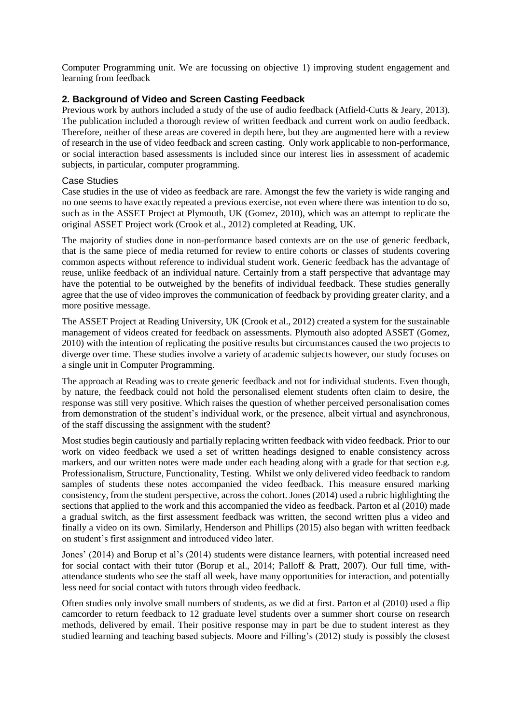Computer Programming unit. We are focussing on objective 1) improving student engagement and learning from feedback

## **2. Background of Video and Screen Casting Feedback**

Previous work by authors included a study of the use of audio feedback (Atfield-Cutts & Jeary, 2013). The publication included a thorough review of written feedback and current work on audio feedback. Therefore, neither of these areas are covered in depth here, but they are augmented here with a review of research in the use of video feedback and screen casting. Only work applicable to non-performance, or social interaction based assessments is included since our interest lies in assessment of academic subjects, in particular, computer programming.

### Case Studies

Case studies in the use of video as feedback are rare. Amongst the few the variety is wide ranging and no one seems to have exactly repeated a previous exercise, not even where there was intention to do so, such as in the ASSET Project at Plymouth, UK (Gomez, 2010), which was an attempt to replicate the original ASSET Project work (Crook et al., 2012) completed at Reading, UK.

The majority of studies done in non-performance based contexts are on the use of generic feedback, that is the same piece of media returned for review to entire cohorts or classes of students covering common aspects without reference to individual student work. Generic feedback has the advantage of reuse, unlike feedback of an individual nature. Certainly from a staff perspective that advantage may have the potential to be outweighed by the benefits of individual feedback. These studies generally agree that the use of video improves the communication of feedback by providing greater clarity, and a more positive message.

The ASSET Project at Reading University, UK (Crook et al., 2012) created a system for the sustainable management of videos created for feedback on assessments. Plymouth also adopted ASSET (Gomez, 2010) with the intention of replicating the positive results but circumstances caused the two projects to diverge over time. These studies involve a variety of academic subjects however, our study focuses on a single unit in Computer Programming.

The approach at Reading was to create generic feedback and not for individual students. Even though, by nature, the feedback could not hold the personalised element students often claim to desire, the response was still very positive. Which raises the question of whether perceived personalisation comes from demonstration of the student's individual work, or the presence, albeit virtual and asynchronous, of the staff discussing the assignment with the student?

Most studies begin cautiously and partially replacing written feedback with video feedback. Prior to our work on video feedback we used a set of written headings designed to enable consistency across markers, and our written notes were made under each heading along with a grade for that section e.g. Professionalism, Structure, Functionality, Testing. Whilst we only delivered video feedback to random samples of students these notes accompanied the video feedback. This measure ensured marking consistency, from the student perspective, across the cohort. Jones (2014) used a rubric highlighting the sections that applied to the work and this accompanied the video as feedback. Parton et al (2010) made a gradual switch, as the first assessment feedback was written, the second written plus a video and finally a video on its own. Similarly, Henderson and Phillips (2015) also began with written feedback on student's first assignment and introduced video later.

Jones' (2014) and Borup et al's (2014) students were distance learners, with potential increased need for social contact with their tutor (Borup et al., 2014; Palloff & Pratt, 2007). Our full time, withattendance students who see the staff all week, have many opportunities for interaction, and potentially less need for social contact with tutors through video feedback.

Often studies only involve small numbers of students, as we did at first. Parton et al (2010) used a flip camcorder to return feedback to 12 graduate level students over a summer short course on research methods, delivered by email. Their positive response may in part be due to student interest as they studied learning and teaching based subjects. Moore and Filling's (2012) study is possibly the closest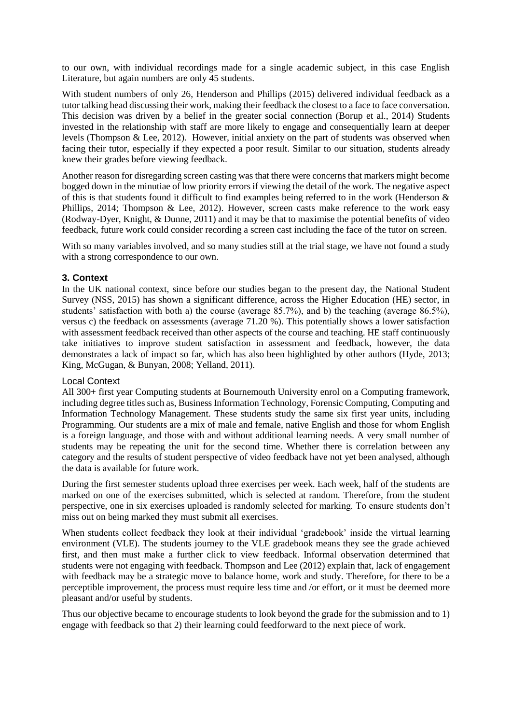to our own, with individual recordings made for a single academic subject, in this case English Literature, but again numbers are only 45 students.

With student numbers of only 26, Henderson and Phillips (2015) delivered individual feedback as a tutor talking head discussing their work, making their feedback the closest to a face to face conversation. This decision was driven by a belief in the greater social connection (Borup et al., 2014) Students invested in the relationship with staff are more likely to engage and consequentially learn at deeper levels (Thompson & Lee, 2012). However, initial anxiety on the part of students was observed when facing their tutor, especially if they expected a poor result. Similar to our situation, students already knew their grades before viewing feedback.

Another reason for disregarding screen casting was that there were concerns that markers might become bogged down in the minutiae of low priority errors if viewing the detail of the work. The negative aspect of this is that students found it difficult to find examples being referred to in the work (Henderson & Phillips, 2014; Thompson & Lee, 2012). However, screen casts make reference to the work easy (Rodway-Dyer, Knight, & Dunne, 2011) and it may be that to maximise the potential benefits of video feedback, future work could consider recording a screen cast including the face of the tutor on screen.

With so many variables involved, and so many studies still at the trial stage, we have not found a study with a strong correspondence to our own.

### **3. Context**

In the UK national context, since before our studies began to the present day, the National Student Survey (NSS, 2015) has shown a significant difference, across the Higher Education (HE) sector, in students' satisfaction with both a) the course (average 85.7%), and b) the teaching (average 86.5%), versus c) the feedback on assessments (average 71.20 %). This potentially shows a lower satisfaction with assessment feedback received than other aspects of the course and teaching. HE staff continuously take initiatives to improve student satisfaction in assessment and feedback, however, the data demonstrates a lack of impact so far, which has also been highlighted by other authors (Hyde, 2013; King, McGugan, & Bunyan, 2008; Yelland, 2011).

### Local Context

All 300+ first year Computing students at Bournemouth University enrol on a Computing framework, including degree titles such as, Business Information Technology, Forensic Computing, Computing and Information Technology Management. These students study the same six first year units, including Programming. Our students are a mix of male and female, native English and those for whom English is a foreign language, and those with and without additional learning needs. A very small number of students may be repeating the unit for the second time. Whether there is correlation between any category and the results of student perspective of video feedback have not yet been analysed, although the data is available for future work.

During the first semester students upload three exercises per week. Each week, half of the students are marked on one of the exercises submitted, which is selected at random. Therefore, from the student perspective, one in six exercises uploaded is randomly selected for marking. To ensure students don't miss out on being marked they must submit all exercises.

When students collect feedback they look at their individual 'gradebook' inside the virtual learning environment (VLE). The students journey to the VLE gradebook means they see the grade achieved first, and then must make a further click to view feedback. Informal observation determined that students were not engaging with feedback. Thompson and Lee (2012) explain that, lack of engagement with feedback may be a strategic move to balance home, work and study. Therefore, for there to be a perceptible improvement, the process must require less time and /or effort, or it must be deemed more pleasant and/or useful by students.

Thus our objective became to encourage students to look beyond the grade for the submission and to 1) engage with feedback so that 2) their learning could feedforward to the next piece of work.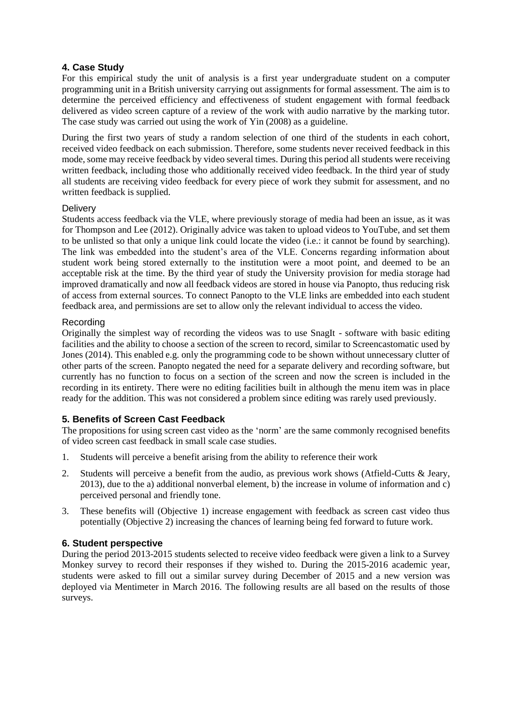# **4. Case Study**

For this empirical study the unit of analysis is a first year undergraduate student on a computer programming unit in a British university carrying out assignments for formal assessment. The aim is to determine the perceived efficiency and effectiveness of student engagement with formal feedback delivered as video screen capture of a review of the work with audio narrative by the marking tutor. The case study was carried out using the work of Yin (2008) as a guideline.

During the first two years of study a random selection of one third of the students in each cohort, received video feedback on each submission. Therefore, some students never received feedback in this mode, some may receive feedback by video several times. During this period all students were receiving written feedback, including those who additionally received video feedback. In the third year of study all students are receiving video feedback for every piece of work they submit for assessment, and no written feedback is supplied.

### **Delivery**

Students access feedback via the VLE, where previously storage of media had been an issue, as it was for Thompson and Lee (2012). Originally advice was taken to upload videos to YouTube, and set them to be unlisted so that only a unique link could locate the video (i.e.: it cannot be found by searching). The link was embedded into the student's area of the VLE. Concerns regarding information about student work being stored externally to the institution were a moot point, and deemed to be an acceptable risk at the time. By the third year of study the University provision for media storage had improved dramatically and now all feedback videos are stored in house via Panopto, thus reducing risk of access from external sources. To connect Panopto to the VLE links are embedded into each student feedback area, and permissions are set to allow only the relevant individual to access the video.

### Recording

Originally the simplest way of recording the videos was to use SnagIt - software with basic editing facilities and the ability to choose a section of the screen to record, similar to Screencastomatic used by Jones (2014). This enabled e.g. only the programming code to be shown without unnecessary clutter of other parts of the screen. Panopto negated the need for a separate delivery and recording software, but currently has no function to focus on a section of the screen and now the screen is included in the recording in its entirety. There were no editing facilities built in although the menu item was in place ready for the addition. This was not considered a problem since editing was rarely used previously.

## **5. Benefits of Screen Cast Feedback**

The propositions for using screen cast video as the 'norm' are the same commonly recognised benefits of video screen cast feedback in small scale case studies.

- 1. Students will perceive a benefit arising from the ability to reference their work
- 2. Students will perceive a benefit from the audio, as previous work shows (Atfield-Cutts & Jeary, 2013), due to the a) additional nonverbal element, b) the increase in volume of information and c) perceived personal and friendly tone.
- 3. These benefits will (Objective 1) increase engagement with feedback as screen cast video thus potentially (Objective 2) increasing the chances of learning being fed forward to future work.

## **6. Student perspective**

During the period 2013-2015 students selected to receive video feedback were given a link to a Survey Monkey survey to record their responses if they wished to. During the 2015-2016 academic year, students were asked to fill out a similar survey during December of 2015 and a new version was deployed via Mentimeter in March 2016. The following results are all based on the results of those surveys.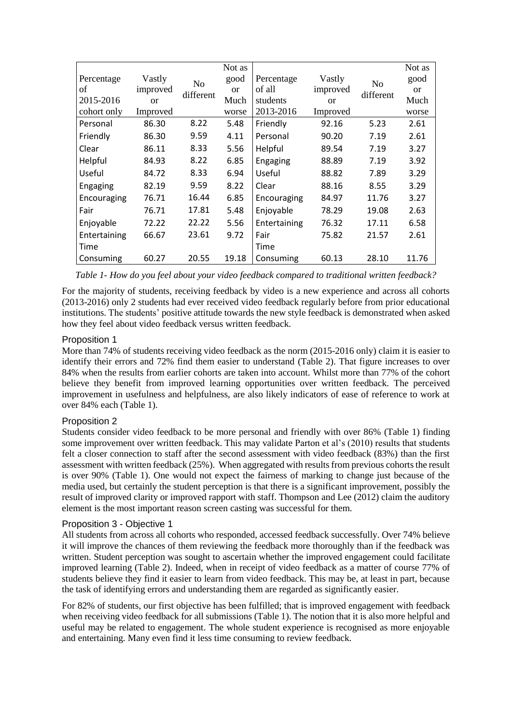|              |          |           | Not as        |              |               |                | Not as        |
|--------------|----------|-----------|---------------|--------------|---------------|----------------|---------------|
| Percentage   | Vastly   | No        | good          | Percentage   | Vastly        | N <sub>0</sub> | good          |
| of           | improved | different | <sub>or</sub> | of all       | improved      | different      | <sub>or</sub> |
| 2015-2016    | $\alpha$ |           | Much          | students     | <sub>or</sub> |                | Much          |
| cohort only  | Improved |           | worse         | 2013-2016    | Improved      |                | worse         |
| Personal     | 86.30    | 8.22      | 5.48          | Friendly     | 92.16         | 5.23           | 2.61          |
| Friendly     | 86.30    | 9.59      | 4.11          | Personal     | 90.20         | 7.19           | 2.61          |
| Clear        | 86.11    | 8.33      | 5.56          | Helpful      | 89.54         | 7.19           | 3.27          |
| Helpful      | 84.93    | 8.22      | 6.85          | Engaging     | 88.89         | 7.19           | 3.92          |
| Useful       | 84.72    | 8.33      | 6.94          | Useful       | 88.82         | 7.89           | 3.29          |
| Engaging     | 82.19    | 9.59      | 8.22          | Clear        | 88.16         | 8.55           | 3.29          |
| Encouraging  | 76.71    | 16.44     | 6.85          | Encouraging  | 84.97         | 11.76          | 3.27          |
| Fair         | 76.71    | 17.81     | 5.48          | Enjoyable    | 78.29         | 19.08          | 2.63          |
| Enjoyable    | 72.22    | 22.22     | 5.56          | Entertaining | 76.32         | 17.11          | 6.58          |
| Entertaining | 66.67    | 23.61     | 9.72          | Fair         | 75.82         | 21.57          | 2.61          |
| Time         |          |           |               | Time         |               |                |               |
| Consuming    | 60.27    | 20.55     | 19.18         | Consuming    | 60.13         | 28.10          | 11.76         |

<span id="page-4-0"></span>*Table 1- How do you feel about your video feedback compared to traditional written feedback?*

For the majority of students, receiving feedback by video is a new experience and across all cohorts (2013-2016) only 2 students had ever received video feedback regularly before from prior educational institutions. The students' positive attitude towards the new style feedback is demonstrated when asked how they feel about video feedback versus written feedback.

### Proposition 1

More than 74% of students receiving video feedback as the norm (2015-2016 only) claim it is easier to identify their errors and 72% find them easier to understand (Table 2). That figure increases to over 84% when the results from earlier cohorts are taken into account. Whilst more than 77% of the cohort believe they benefit from improved learning opportunities over written feedback. The perceived improvement in usefulness and helpfulness, are also likely indicators of ease of reference to work at over 84% each [\(Table 1\)](#page-4-0).

## Proposition 2

Students consider video feedback to be more personal and friendly with over 86% [\(Table 1\)](#page-4-0) finding some improvement over written feedback. This may validate Parton et al's (2010) results that students felt a closer connection to staff after the second assessment with video feedback (83%) than the first assessment with written feedback (25%). When aggregated with results from previous cohorts the result is over 90% (Table 1). One would not expect the fairness of marking to change just because of the media used, but certainly the student perception is that there is a significant improvement, possibly the result of improved clarity or improved rapport with staff. Thompson and Lee (2012) claim the auditory element is the most important reason screen casting was successful for them.

### Proposition 3 - Objective 1

All students from across all cohorts who responded, accessed feedback successfully. Over 74% believe it will improve the chances of them reviewing the feedback more thoroughly than if the feedback was written. Student perception was sought to ascertain whether the improved engagement could facilitate improved learning (Table 2). Indeed, when in receipt of video feedback as a matter of course 77% of students believe they find it easier to learn from video feedback. This may be, at least in part, because the task of identifying errors and understanding them are regarded as significantly easier.

For 82% of students, our first objective has been fulfilled; that is improved engagement with feedback when receiving video feedback for all submissions [\(Table 1\)](#page-4-0). The notion that it is also more helpful and useful may be related to engagement. The whole student experience is recognised as more enjoyable and entertaining. Many even find it less time consuming to review feedback.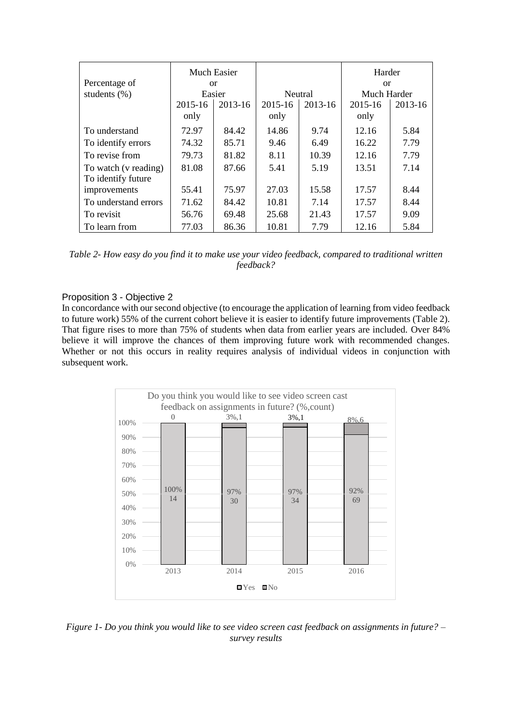|                      | Much Easier   |         |                |         | Harder      |               |  |
|----------------------|---------------|---------|----------------|---------|-------------|---------------|--|
| Percentage of        | <sub>or</sub> |         |                |         |             | <sub>or</sub> |  |
| students $(\% )$     | Easier        |         | <b>Neutral</b> |         | Much Harder |               |  |
|                      | 2015-16       | 2013-16 | 2015-16        | 2013-16 | 2015-16     | 2013-16       |  |
|                      | only          |         | only           |         | only        |               |  |
| To understand        | 72.97         | 84.42   | 14.86          | 9.74    | 12.16       | 5.84          |  |
| To identify errors   | 74.32         | 85.71   | 9.46           | 6.49    | 16.22       | 7.79          |  |
| To revise from       | 79.73         | 81.82   | 8.11           | 10.39   | 12.16       | 7.79          |  |
| To watch (v reading) | 81.08         | 87.66   | 5.41           | 5.19    | 13.51       | 7.14          |  |
| To identify future   |               |         |                |         |             |               |  |
| improvements         | 55.41         | 75.97   | 27.03          | 15.58   | 17.57       | 8.44          |  |
| To understand errors | 71.62         | 84.42   | 10.81          | 7.14    | 17.57       | 8.44          |  |
| To revisit           | 56.76         | 69.48   | 25.68          | 21.43   | 17.57       | 9.09          |  |
| To learn from        | 77.03         | 86.36   | 10.81          | 7.79    | 12.16       | 5.84          |  |

*Table 2- How easy do you find it to make use your video feedback, compared to traditional written feedback?*

### Proposition 3 - Objective 2

In concordance with our second objective (to encourage the application of learning from video feedback to future work) 55% of the current cohort believe it is easier to identify future improvements (Table 2). That figure rises to more than 75% of students when data from earlier years are included. Over 84% believe it will improve the chances of them improving future work with recommended changes. Whether or not this occurs in reality requires analysis of individual videos in conjunction with subsequent work.



*Figure 1- Do you think you would like to see video screen cast feedback on assignments in future? – survey results*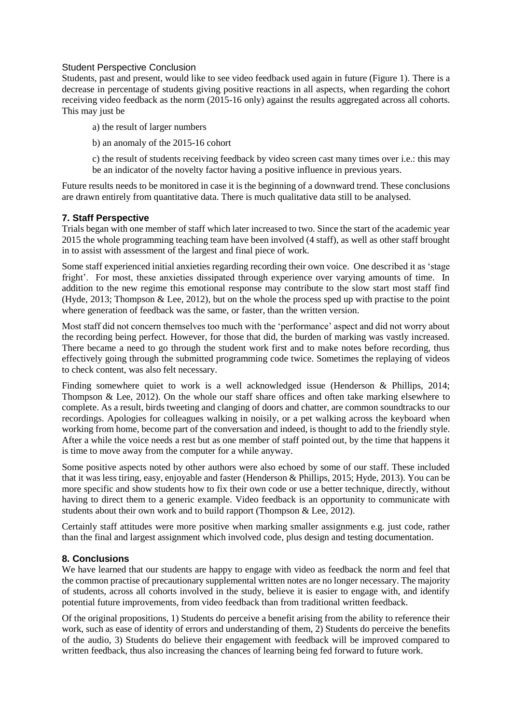#### Student Perspective Conclusion

Students, past and present, would like to see video feedback used again in future (Figure 1). There is a decrease in percentage of students giving positive reactions in all aspects, when regarding the cohort receiving video feedback as the norm (2015-16 only) against the results aggregated across all cohorts. This may just be

- a) the result of larger numbers
- b) an anomaly of the 2015-16 cohort

c) the result of students receiving feedback by video screen cast many times over i.e.: this may be an indicator of the novelty factor having a positive influence in previous years.

Future results needs to be monitored in case it is the beginning of a downward trend. These conclusions are drawn entirely from quantitative data. There is much qualitative data still to be analysed.

### **7. Staff Perspective**

Trials began with one member of staff which later increased to two. Since the start of the academic year 2015 the whole programming teaching team have been involved (4 staff), as well as other staff brought in to assist with assessment of the largest and final piece of work.

Some staff experienced initial anxieties regarding recording their own voice. One described it as 'stage fright'. For most, these anxieties dissipated through experience over varying amounts of time. In addition to the new regime this emotional response may contribute to the slow start most staff find (Hyde, 2013; Thompson & Lee, 2012), but on the whole the process sped up with practise to the point where generation of feedback was the same, or faster, than the written version.

Most staff did not concern themselves too much with the 'performance' aspect and did not worry about the recording being perfect. However, for those that did, the burden of marking was vastly increased. There became a need to go through the student work first and to make notes before recording, thus effectively going through the submitted programming code twice. Sometimes the replaying of videos to check content, was also felt necessary.

Finding somewhere quiet to work is a well acknowledged issue (Henderson & Phillips, 2014; Thompson & Lee, 2012). On the whole our staff share offices and often take marking elsewhere to complete. As a result, birds tweeting and clanging of doors and chatter, are common soundtracks to our recordings. Apologies for colleagues walking in noisily, or a pet walking across the keyboard when working from home, become part of the conversation and indeed, is thought to add to the friendly style. After a while the voice needs a rest but as one member of staff pointed out, by the time that happens it is time to move away from the computer for a while anyway.

Some positive aspects noted by other authors were also echoed by some of our staff. These included that it was less tiring, easy, enjoyable and faster (Henderson & Phillips, 2015; Hyde, 2013). You can be more specific and show students how to fix their own code or use a better technique, directly, without having to direct them to a generic example. Video feedback is an opportunity to communicate with students about their own work and to build rapport (Thompson & Lee, 2012).

Certainly staff attitudes were more positive when marking smaller assignments e.g. just code, rather than the final and largest assignment which involved code, plus design and testing documentation.

### **8. Conclusions**

We have learned that our students are happy to engage with video as feedback the norm and feel that the common practise of precautionary supplemental written notes are no longer necessary. The majority of students, across all cohorts involved in the study, believe it is easier to engage with, and identify potential future improvements, from video feedback than from traditional written feedback.

Of the original propositions, 1) Students do perceive a benefit arising from the ability to reference their work, such as ease of identity of errors and understanding of them, 2) Students do perceive the benefits of the audio, 3) Students do believe their engagement with feedback will be improved compared to written feedback, thus also increasing the chances of learning being fed forward to future work.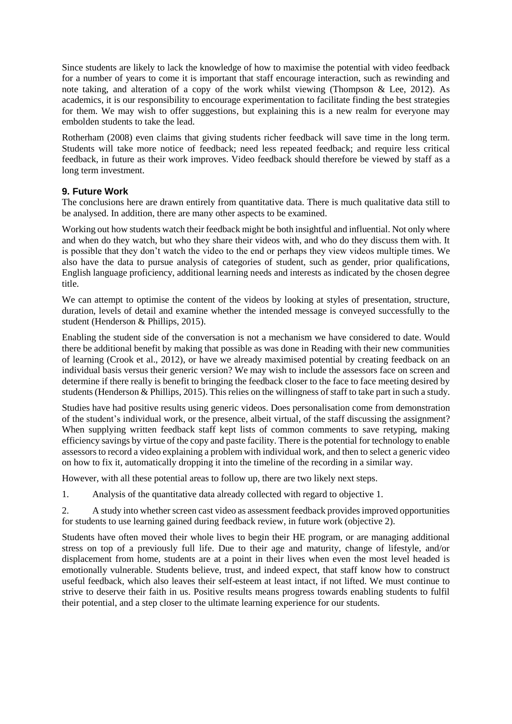Since students are likely to lack the knowledge of how to maximise the potential with video feedback for a number of years to come it is important that staff encourage interaction, such as rewinding and note taking, and alteration of a copy of the work whilst viewing (Thompson & Lee, 2012). As academics, it is our responsibility to encourage experimentation to facilitate finding the best strategies for them. We may wish to offer suggestions, but explaining this is a new realm for everyone may embolden students to take the lead.

Rotherham (2008) even claims that giving students richer feedback will save time in the long term. Students will take more notice of feedback; need less repeated feedback; and require less critical feedback, in future as their work improves. Video feedback should therefore be viewed by staff as a long term investment.

## **9. Future Work**

The conclusions here are drawn entirely from quantitative data. There is much qualitative data still to be analysed. In addition, there are many other aspects to be examined.

Working out how students watch their feedback might be both insightful and influential. Not only where and when do they watch, but who they share their videos with, and who do they discuss them with. It is possible that they don't watch the video to the end or perhaps they view videos multiple times. We also have the data to pursue analysis of categories of student, such as gender, prior qualifications, English language proficiency, additional learning needs and interests as indicated by the chosen degree title.

We can attempt to optimise the content of the videos by looking at styles of presentation, structure, duration, levels of detail and examine whether the intended message is conveyed successfully to the student (Henderson & Phillips, 2015).

Enabling the student side of the conversation is not a mechanism we have considered to date. Would there be additional benefit by making that possible as was done in Reading with their new communities of learning (Crook et al., 2012), or have we already maximised potential by creating feedback on an individual basis versus their generic version? We may wish to include the assessors face on screen and determine if there really is benefit to bringing the feedback closer to the face to face meeting desired by students (Henderson & Phillips, 2015). This relies on the willingness of staff to take part in such a study.

Studies have had positive results using generic videos. Does personalisation come from demonstration of the student's individual work, or the presence, albeit virtual, of the staff discussing the assignment? When supplying written feedback staff kept lists of common comments to save retyping, making efficiency savings by virtue of the copy and paste facility. There is the potential for technology to enable assessors to record a video explaining a problem with individual work, and then to select a generic video on how to fix it, automatically dropping it into the timeline of the recording in a similar way.

However, with all these potential areas to follow up, there are two likely next steps.

1. Analysis of the quantitative data already collected with regard to objective 1.

2. A study into whether screen cast video as assessment feedback provides improved opportunities for students to use learning gained during feedback review, in future work (objective 2).

Students have often moved their whole lives to begin their HE program, or are managing additional stress on top of a previously full life. Due to their age and maturity, change of lifestyle, and/or displacement from home, students are at a point in their lives when even the most level headed is emotionally vulnerable. Students believe, trust, and indeed expect, that staff know how to construct useful feedback, which also leaves their self-esteem at least intact, if not lifted. We must continue to strive to deserve their faith in us. Positive results means progress towards enabling students to fulfil their potential, and a step closer to the ultimate learning experience for our students.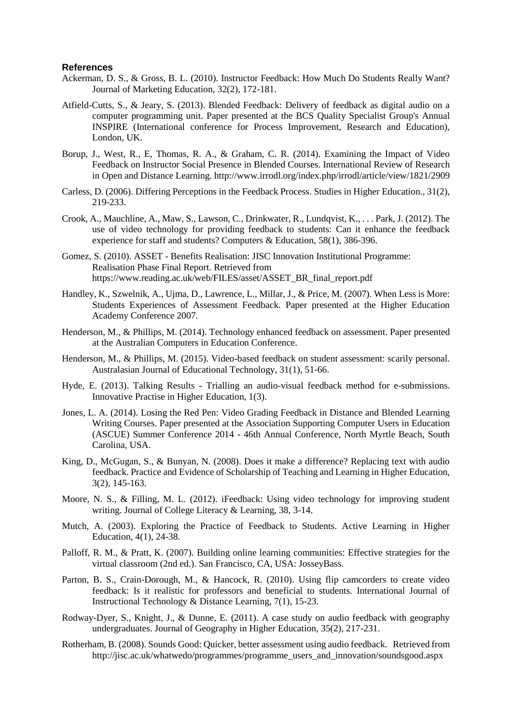#### **References**

- Ackerman, D. S., & Gross, B. L. (2010). Instructor Feedback: How Much Do Students Really Want? Journal of Marketing Education, 32(2), 172-181.
- Atfield-Cutts, S., & Jeary, S. (2013). Blended Feedback: Delivery of feedback as digital audio on a computer programming unit. Paper presented at the BCS Quality Specialist Group's Annual INSPIRE (International conference for Process Improvement, Research and Education), London, UK.
- Borup, J., West, R., E, Thomas, R. A., & Graham, C. R. (2014). Examining the Impact of Video Feedback on Instructor Social Presence in Blended Courses. International Review of Research in Open and Distance Learning. http://www.irrodl.org/index.php/irrodl/article/view/1821/2909
- Carless, D. (2006). Differing Perceptions in the Feedback Process. Studies in Higher Education., 31(2), 219-233.
- Crook, A., Mauchline, A., Maw, S., Lawson, C., Drinkwater, R., Lundqvist, K., . . . Park, J. (2012). The use of video technology for providing feedback to students: Can it enhance the feedback experience for staff and students? Computers & Education, 58(1), 386-396.
- Gomez, S. (2010). ASSET Benefits Realisation: JISC Innovation Institutional Programme: Realisation Phase Final Report. Retrieved from https://www.reading.ac.uk/web/FILES/asset/ASSET\_BR\_final\_report.pdf
- Handley, K., Szwelnik, A., Ujma, D., Lawrence, L., Millar, J., & Price, M. (2007). When Less is More: Students Experiences of Assessment Feedback. Paper presented at the Higher Education Academy Conference 2007.
- Henderson, M., & Phillips, M. (2014). Technology enhanced feedback on assessment. Paper presented at the Australian Computers in Education Conference.
- Henderson, M., & Phillips, M. (2015). Video-based feedback on student assessment: scarily personal. Australasian Journal of Educational Technology, 31(1), 51-66.
- Hyde, E. (2013). Talking Results Trialling an audio-visual feedback method for e-submissions. Innovative Practise in Higher Education, 1(3).
- Jones, L. A. (2014). Losing the Red Pen: Video Grading Feedback in Distance and Blended Learning Writing Courses. Paper presented at the Association Supporting Computer Users in Education (ASCUE) Summer Conference 2014 - 46th Annual Conference, North Myrtle Beach, South Carolina, USA.
- King, D., McGugan, S., & Bunyan, N. (2008). Does it make a difference? Replacing text with audio feedback. Practice and Evidence of Scholarship of Teaching and Learning in Higher Education, 3(2), 145-163.
- Moore, N. S., & Filling, M. L. (2012). iFeedback: Using video technology for improving student writing. Journal of College Literacy & Learning, 38, 3-14.
- Mutch, A. (2003). Exploring the Practice of Feedback to Students. Active Learning in Higher Education, 4(1), 24-38.
- Palloff, R. M., & Pratt, K. (2007). Building online learning communities: Effective strategies for the virtual classroom (2nd ed.). San Francisco, CA, USA: JosseyBass.
- Parton, B. S., Crain-Dorough, M., & Hancock, R. (2010). Using flip camcorders to create video feedback: Is it realistic for professors and beneficial to students. International Journal of Instructional Technology & Distance Learning, 7(1), 15-23.
- Rodway-Dyer, S., Knight, J., & Dunne, E. (2011). A case study on audio feedback with geography undergraduates. Journal of Geography in Higher Education, 35(2), 217-231.
- Rotherham, B. (2008). Sounds Good: Quicker, better assessment using audio feedback. Retrieved from http://jisc.ac.uk/whatwedo/programmes/programme\_users\_and\_innovation/soundsgood.aspx